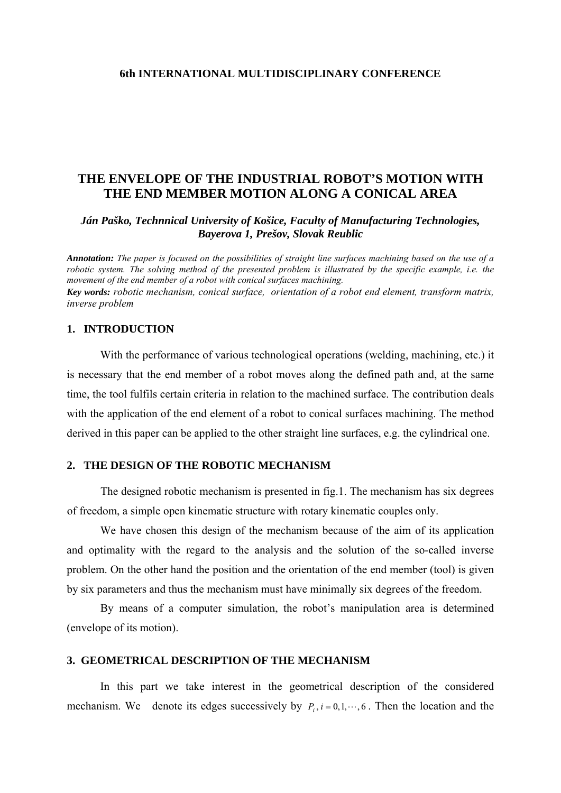### **6th INTERNATIONAL MULTIDISCIPLINARY CONFERENCE**

# **THE ENVELOPE OF THE INDUSTRIAL ROBOT'S MOTION WITH THE END MEMBER MOTION ALONG A CONICAL AREA**

*Ján Paško, Technnical University of Košice, Faculty of Manufacturing Technologies, Bayerova 1, Prešov, Slovak Reublic* 

*Annotation: The paper is focused on the possibilities of straight line surfaces machining based on the use of a robotic system. The solving method of the presented problem is illustrated by the specific example, i.e. the movement of the end member of a robot with conical surfaces machining. Key words: robotic mechanism, conical surface, orientation of a robot end element, transform matrix, inverse problem* 

## **1. INTRODUCTION**

With the performance of various technological operations (welding, machining, etc.) it is necessary that the end member of a robot moves along the defined path and, at the same time, the tool fulfils certain criteria in relation to the machined surface. The contribution deals with the application of the end element of a robot to conical surfaces machining. The method derived in this paper can be applied to the other straight line surfaces, e.g. the cylindrical one.

#### **2. THE DESIGN OF THE ROBOTIC MECHANISM**

The designed robotic mechanism is presented in fig.1. The mechanism has six degrees of freedom, a simple open kinematic structure with rotary kinematic couples only.

We have chosen this design of the mechanism because of the aim of its application and optimality with the regard to the analysis and the solution of the so-called inverse problem. On the other hand the position and the orientation of the end member (tool) is given by six parameters and thus the mechanism must have minimally six degrees of the freedom.

By means of a computer simulation, the robot's manipulation area is determined (envelope of its motion).

### **3. GEOMETRICAL DESCRIPTION OF THE MECHANISM**

In this part we take interest in the geometrical description of the considered mechanism. We denote its edges successively by  $P_i$ ,  $i = 0, 1, \dots, 6$ . Then the location and the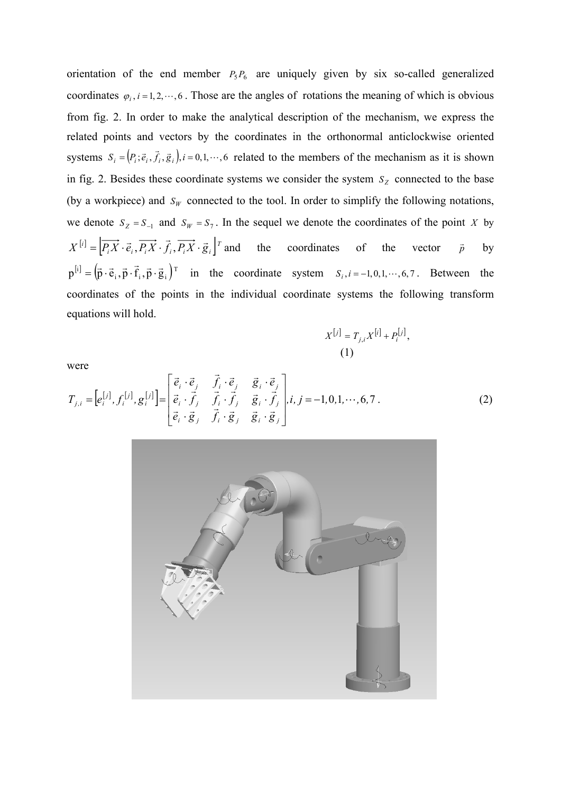orientation of the end member  $P_5P_6$  are uniquely given by six so-called generalized coordinates  $\varphi_i$ , *i* = 1, 2,  $\cdots$ , 6. Those are the angles of rotations the meaning of which is obvious from fig. 2. In order to make the analytical description of the mechanism, we express the related points and vectors by the coordinates in the orthonormal anticlockwise oriented systems  $S_i = (P_i; \vec{e}_i, \vec{f}_i, \vec{g}_i)$ ,  $i = 0, 1, \dots, 6$  related to the members of the mechanism as it is shown in fig. 2. Besides these coordinate systems we consider the system  $S<sub>Z</sub>$  connected to the base (by a workpiece) and  $S_W$  connected to the tool. In order to simplify the following notations, we denote  $S_Z = S_{-1}$  and  $S_W = S_7$ . In the sequel we denote the coordinates of the point X by  $X^{[i]} = [\overrightarrow{P_i X} \cdot \vec{e}_i, \overrightarrow{P_i X} \cdot \vec{f}_i, \overrightarrow{P_i X} \cdot \vec{g}_i]^T$  and the coordinates of the vector  $\vec{p}$  $\vec{p}$  by  $p^{[i]} = (\vec{p} \cdot \vec{e}_i, \vec{p} \cdot \vec{f}_i, \vec{p} \cdot \vec{g}_i)^T$  in the coordinate system  $S_i, i = -1, 0, 1, \dots, 6, 7$ . Between the coordinates of the points in the individual coordinate systems the following transform equations will hold.

$$
X^{[j]} = T_{j,i} X^{[i]} + P_i^{[j]},
$$
  
(1)

were

where

\n
$$
T_{j,i} = \left[e_i^{[j]}, f_i^{[j]}, g_i^{[j]}\right] = \begin{bmatrix} \vec{e}_i \cdot \vec{e}_j & \vec{f}_i \cdot \vec{e}_j & \vec{g}_i \cdot \vec{e}_j \\ \vec{e}_i \cdot \vec{f}_j & \vec{f}_i \cdot \vec{f}_j & \vec{g}_i \cdot \vec{f}_j \\ \vec{e}_i \cdot \vec{g}_j & \vec{f}_i \cdot \vec{g}_j & \vec{g}_i \cdot \vec{g}_j \end{bmatrix}, i, j = -1, 0, 1, \dots, 6, 7. \tag{2}
$$

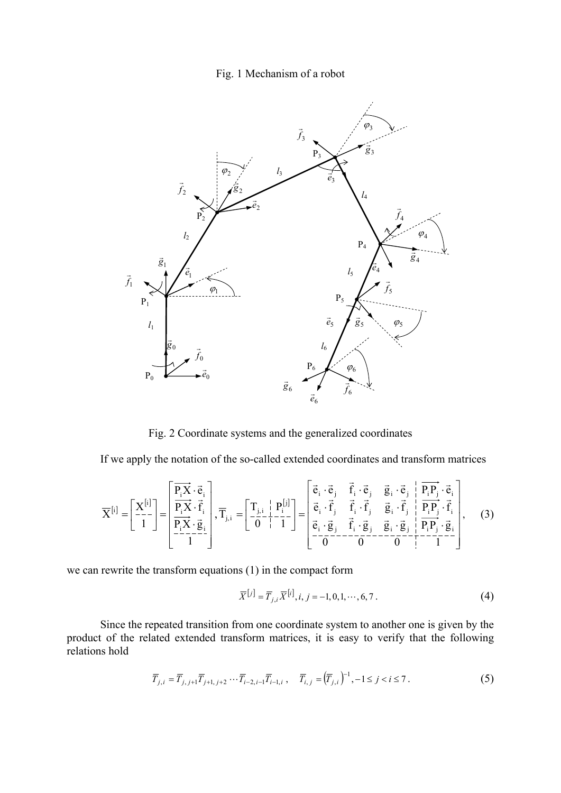## Fig. 1 Mechanism of a robot



Fig. 2 Coordinate systems and the generalized coordinates

If we apply the notation of the so-called extended coordinates and transform matrices

$$
\overline{X}^{[i]} = \begin{bmatrix} X^{[i]} \\ -1 \end{bmatrix} = \begin{bmatrix} \overrightarrow{P_i X} \cdot \vec{e}_i \\ \overrightarrow{P_i X} \cdot \vec{f}_i \\ \overrightarrow{P_i X} \cdot \vec{g}_i \\ -1 \end{bmatrix}, \overline{T}_{j,i} = \begin{bmatrix} T_{j,i} & P_i^{[j]} \\ 0 & 1 \end{bmatrix} = \begin{bmatrix} \vec{e}_i \cdot \vec{e}_j & \vec{f}_i \cdot \vec{e}_j & \vec{g}_i \cdot \vec{e}_j & P_i P_j \cdot \vec{e}_i \\ \vec{e}_i \cdot \vec{f}_j & \vec{f}_i \cdot \vec{f}_j & \vec{g}_i \cdot \vec{f}_j & P_i P_j \cdot \vec{f}_i \\ \vec{e}_i \cdot \vec{g}_j & \vec{f}_i \cdot \vec{g}_j & \vec{g}_i \cdot \vec{g}_j & P_i P_j \cdot \vec{g}_i \\ \overrightarrow{O} = 0 \end{bmatrix}, \quad (3)
$$

we can rewrite the transform equations (1) in the compact form

$$
\overline{X}^{[j]} = \overline{T}_{j,i} \overline{X}^{[i]}, i, j = -1, 0, 1, \cdots, 6, 7.
$$
 (4)

product of the related extended transform matrices, it is easy to verify that the following relations hold Since the repeated transition from one coordinate system to another one is given by the

$$
\overline{T}_{j,i} = \overline{T}_{j,j+1} \overline{T}_{j+1,j+2} \cdots \overline{T}_{i-2,i-1} \overline{T}_{i-1,i}, \quad \overline{T}_{i,j} = (\overline{T}_{j,i})^{-1}, -1 \le j < i \le 7.
$$
 (5)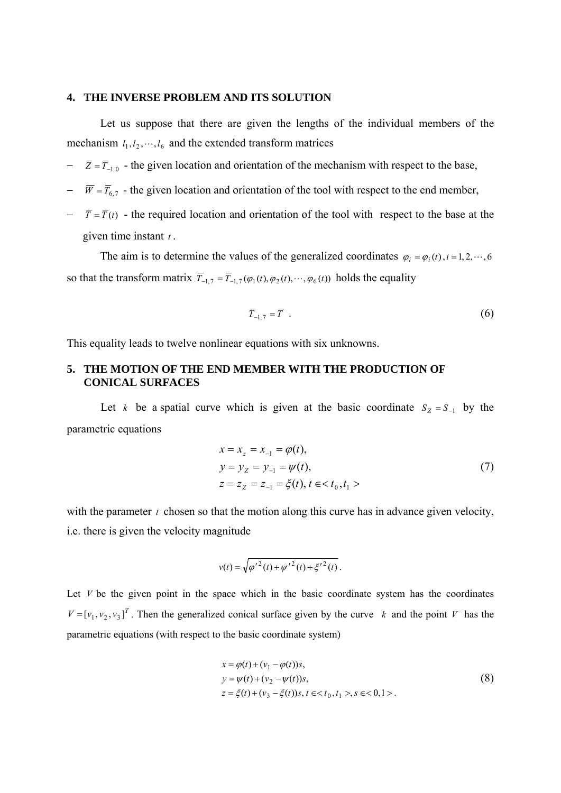#### **. THE INVERSE PROBLEM AND ITS SOLUTION 4**

Let us suppose that there are given the lengths of the individual members of the mechanism  $l_1, l_2, \dots, l_6$  and the extended transform matrices

- $\overline{Z} = \overline{T}_{-1,0}$  the given location and orientation of the mechanism with respect to the base,
- $-\overline{W} = \overline{T}_{6,7}$  the given location and orientation of the tool with respect to the end member,
- $-\overline{T} = \overline{T}(t)$  the required location and orientation of the tool with respect to the base at the given tim e instant *t* .

The aim is to determine the values of the generalized coordinates  $\varphi_i = \varphi_i(t)$ , *i* = 1, 2, ···, 6 so that the transform matrix  $\overline{T}_{-1,7} = \overline{T}_{-1,7}(\varphi_1(t),\varphi_2(t),\cdots,\varphi_6(t))$  holds the equality

$$
\overline{T}_{-1,7} = \overline{T} \tag{6}
$$

This equality leads to twelve nonlinear equations with six unknowns.

### 5. THE MOTION OF THE END MEMBER WITH THE PRODUCTION OF  **CONICAL SURFACES**

Let *k* be a spatial curve which is given at the basic coordinate  $S_z = S_{-1}$  by the parametric equations

$$
x = x_z = x_{-1} = \varphi(t),
$$
  
\n
$$
y = y_z = y_{-1} = \psi(t),
$$
  
\n
$$
z = z_z = z_{-1} = \xi(t), t \in < t_0, t_1 >
$$
\n(7)

with the parameter  $t$  chosen so that the motion along this curve has in advance given velocity, i.e. there is given the velocity magnitude

$$
v(t) = \sqrt{{\varphi'}^2(t) + {\psi'}^2(t) + {\xi'}^2(t)}.
$$

Let  $V$  be the given point in the space which in the basic coordinate system has the coordinates  $V = [v_1, v_2, v_3]^T$ . Then the generalized conical surface given by the curve k and the point V has the parametric equations (with respect to the basic coordinate system)

$$
x = \varphi(t) + (v_1 - \varphi(t))s,y = \psi(t) + (v_2 - \psi(t))s,z = \xi(t) + (v_3 - \xi(t))s, t \in < t_0, t_1 > s \in < 0, 1 >.
$$
\n(8)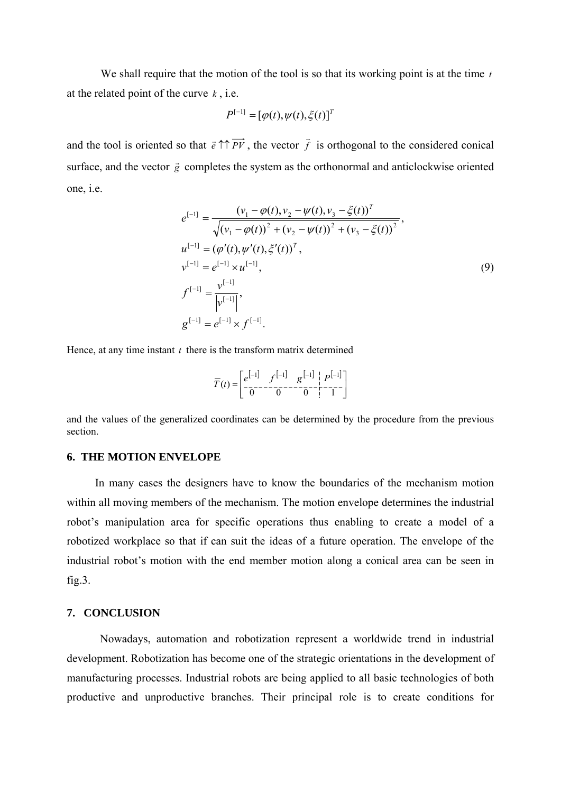We shall require that the motion of the tool is so that its working point is at the time *t* at the related point of the curve  $k$ , i.e.

$$
P^{[-1]} = [\varphi(t), \psi(t), \xi(t)]^T
$$

and the tool is oriented so that  $\vec{e} \uparrow \uparrow \vec{P} \vec{V}$ , the vector  $\vec{f}$  is orthogonal to the considered conical surface, and the vector  $\vec{g}$  completes the system as the orthonormal and anticlockwise oriented one, i.e.

$$
e^{[-1]} = \frac{(\nu_1 - \varphi(t), \nu_2 - \psi(t), \nu_3 - \xi(t))^T}{\sqrt{(\nu_1 - \varphi(t))^2 + (\nu_2 - \psi(t))^2 + (\nu_3 - \xi(t))^2}},
$$
  
\n
$$
u^{[-1]} = (\varphi'(t), \psi'(t), \xi'(t))^T,
$$
  
\n
$$
v^{[-1]} = e^{[-1]} \times u^{[-1]},
$$
  
\n
$$
f^{[-1]} = \frac{v^{[-1]}}{|v^{[-1]}|},
$$
  
\n
$$
g^{[-1]} = e^{[-1]} \times f^{[-1]}.
$$
  
\n(9)

Hence, at any time instant  $t$  there is the transform matrix determined

$$
\overline{T}(t) = \begin{bmatrix} e^{[-1]} & f^{[-1]} & g^{[-1]} & P^{[-1]} \\ \frac{-}{0} & 0 & 0 & 0 & 1 \end{bmatrix}
$$

and the values of the generalized coordinates can be determined by the procedure from the previous section.

#### **6. THE MOTION ENVELOPE**

 In many cases the designers have to know the boundaries of the mechanism motion within all moving members of the mechanism. The motion envelope determines the industrial robot's manipulation area for specific operations thus enabling to create a model of a robotized workplace so that if can suit the ideas of a future operation. The envelope of the industrial robot's motion with the end member motion along a conical area can be seen in fig.3.

## **7. CONCLUSION**

 Nowadays, automation and robotization represent a worldwide trend in industrial development. Robotization has become one of the strategic orientations in the development of manufacturing processes. Industrial robots are being applied to all basic technologies of both productive and unproductive branches. Their principal role is to create conditions for